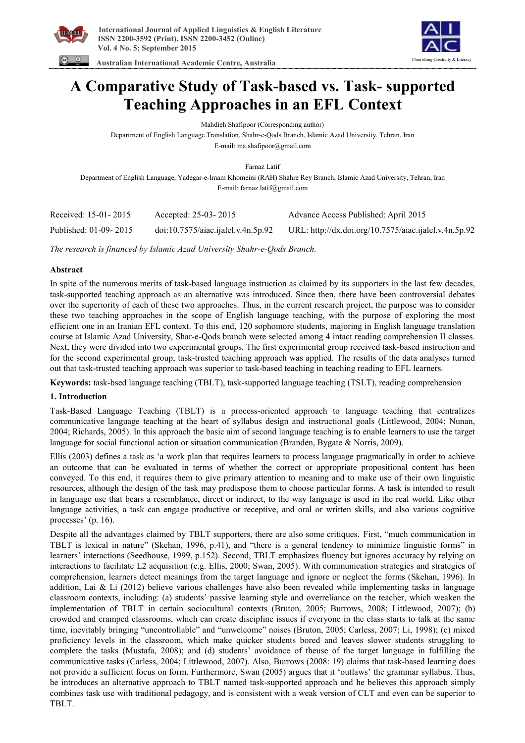

Flourishing Creativity & Literacy

 **Australian International Academic Centre, Australia** 

# **A Comparative Study of Task-based vs. Task- supported Teaching Approaches in an EFL Context**

Mahdieh Shafipoor (Corresponding author)

Department of English Language Translation, Shahr-e-Qods Branch, Islamic Azad University, Tehran, Iran

E-mail: ma.shafipoor@gmail.com

Farnaz Latif

Department of English Language, Yadegar-e-Imam Khomeini (RAH) Shahre Rey Branch, Islamic Azad University, Tehran, Iran E-mail: farnaz.latif@gmail.com

| Received: 15-01-2015  | Accepted: 25-03-2015              | Advance Access Published: April 2015                  |
|-----------------------|-----------------------------------|-------------------------------------------------------|
| Published: 01-09-2015 | doi:10.7575/aiac.jalel.v.4n.5p.92 | URL: http://dx.doi.org/10.7575/aiac.ijalel.v.4n.5p.92 |

*The research is financed by Islamic Azad University Shahr-e-Qods Branch.* 

# **Abstract**

In spite of the numerous merits of task-based language instruction as claimed by its supporters in the last few decades, task-supported teaching approach as an alternative was introduced. Since then, there have been controversial debates over the superiority of each of these two approaches. Thus, in the current research project, the purpose was to consider these two teaching approaches in the scope of English language teaching, with the purpose of exploring the most efficient one in an Iranian EFL context. To this end, 120 sophomore students, majoring in English language translation course at Islamic Azad University, Shar-e-Qods branch were selected among 4 intact reading comprehension II classes. Next, they were divided into two experimental groups. The first experimental group received task-based instruction and for the second experimental group, task-trusted teaching approach was applied. The results of the data analyses turned out that task-trusted teaching approach was superior to task-based teaching in teaching reading to EFL learners.

**Keywords:** task-bsed language teaching (TBLT), task-supported language teaching (TSLT), reading comprehension

### **1. Introduction**

Task-Based Language Teaching (TBLT) is a process-oriented approach to language teaching that centralizes communicative language teaching at the heart of syllabus design and instructional goals (Littlewood, 2004; Nunan, 2004; Richards, 2005). In this approach the basic aim of second language teaching is to enable learners to use the target language for social functional action or situation communication (Branden, Bygate & Norris, 2009).

Ellis (2003) defines a task as 'a work plan that requires learners to process language pragmatically in order to achieve an outcome that can be evaluated in terms of whether the correct or appropriate propositional content has been conveyed. To this end, it requires them to give primary attention to meaning and to make use of their own linguistic resources, although the design of the task may predispose them to choose particular forms. A task is intended to result in language use that bears a resemblance, direct or indirect, to the way language is used in the real world. Like other language activities, a task can engage productive or receptive, and oral or written skills, and also various cognitive processes' (p. 16).

Despite all the advantages claimed by TBLT supporters, there are also some critiques. First, "much communication in TBLT is lexical in nature" (Skehan, 1996, p.41), and "there is a general tendency to minimize linguistic forms" in learners' interactions (Seedhouse, 1999, p.152). Second, TBLT emphasizes fluency but ignores accuracy by relying on interactions to facilitate L2 acquisition (e.g. Ellis, 2000; Swan, 2005). With communication strategies and strategies of comprehension, learners detect meanings from the target language and ignore or neglect the forms (Skehan, 1996). In addition, Lai & Li (2012) believe various challenges have also been revealed while implementing tasks in language classroom contexts, including: (a) students' passive learning style and overreliance on the teacher, which weaken the implementation of TBLT in certain sociocultural contexts (Bruton, 2005; Burrows, 2008; Littlewood, 2007); (b) crowded and cramped classrooms, which can create discipline issues if everyone in the class starts to talk at the same time, inevitably bringing "uncontrollable" and "unwelcome" noises (Bruton, 2005; Carless, 2007; Li, 1998); (c) mixed proficiency levels in the classroom, which make quicker students bored and leaves slower students struggling to complete the tasks (Mustafa, 2008); and (d) students' avoidance of theuse of the target language in fulfilling the communicative tasks (Carless, 2004; Littlewood, 2007). Also, Burrows (2008: 19) claims that task-based learning does not provide a sufficient focus on form. Furthermore, Swan (2005) argues that it 'outlaws' the grammar syllabus. Thus, he introduces an alternative approach to TBLT named task-supported approach and he believes this approach simply combines task use with traditional pedagogy, and is consistent with a weak version of CLT and even can be superior to TBLT.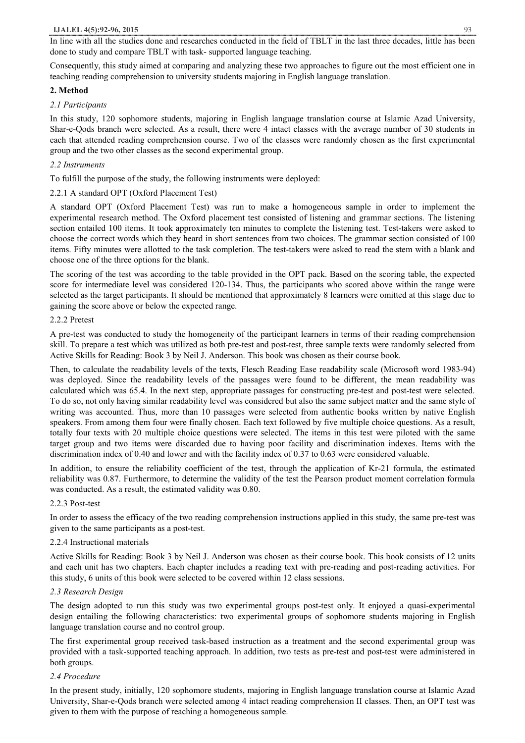In line with all the studies done and researches conducted in the field of TBLT in the last three decades, little has been done to study and compare TBLT with task- supported language teaching.

Consequently, this study aimed at comparing and analyzing these two approaches to figure out the most efficient one in teaching reading comprehension to university students majoring in English language translation.

### **2. Method**

### *2.1 Participants*

In this study, 120 sophomore students, majoring in English language translation course at Islamic Azad University, Shar-e-Qods branch were selected. As a result, there were 4 intact classes with the average number of 30 students in each that attended reading comprehension course. Two of the classes were randomly chosen as the first experimental group and the two other classes as the second experimental group.

# *2.2 Instruments*

To fulfill the purpose of the study, the following instruments were deployed:

# 2.2.1 A standard OPT (Oxford Placement Test)

A standard OPT (Oxford Placement Test) was run to make a homogeneous sample in order to implement the experimental research method. The Oxford placement test consisted of listening and grammar sections. The listening section entailed 100 items. It took approximately ten minutes to complete the listening test. Test-takers were asked to choose the correct words which they heard in short sentences from two choices. The grammar section consisted of 100 items. Fifty minutes were allotted to the task completion. The test-takers were asked to read the stem with a blank and choose one of the three options for the blank.

The scoring of the test was according to the table provided in the OPT pack. Based on the scoring table, the expected score for intermediate level was considered 120-134. Thus, the participants who scored above within the range were selected as the target participants. It should be mentioned that approximately 8 learners were omitted at this stage due to gaining the score above or below the expected range.

### 2.2.2 Pretest

A pre-test was conducted to study the homogeneity of the participant learners in terms of their reading comprehension skill. To prepare a test which was utilized as both pre-test and post-test, three sample texts were randomly selected from Active Skills for Reading: Book 3 by Neil J. Anderson. This book was chosen as their course book.

Then, to calculate the readability levels of the texts, Flesch Reading Ease readability scale (Microsoft word 1983-94) was deployed. Since the readability levels of the passages were found to be different, the mean readability was calculated which was 65.4. In the next step, appropriate passages for constructing pre-test and post-test were selected. To do so, not only having similar readability level was considered but also the same subject matter and the same style of writing was accounted. Thus, more than 10 passages were selected from authentic books written by native English speakers. From among them four were finally chosen. Each text followed by five multiple choice questions. As a result, totally four texts with 20 multiple choice questions were selected. The items in this test were piloted with the same target group and two items were discarded due to having poor facility and discrimination indexes. Items with the discrimination index of 0.40 and lower and with the facility index of 0.37 to 0.63 were considered valuable.

In addition, to ensure the reliability coefficient of the test, through the application of Kr-21 formula, the estimated reliability was 0.87. Furthermore, to determine the validity of the test the Pearson product moment correlation formula was conducted. As a result, the estimated validity was 0.80.

### 2.2.3 Post-test

In order to assess the efficacy of the two reading comprehension instructions applied in this study, the same pre-test was given to the same participants as a post-test.

### 2.2.4 Instructional materials

Active Skills for Reading: Book 3 by Neil J. Anderson was chosen as their course book. This book consists of 12 units and each unit has two chapters. Each chapter includes a reading text with pre-reading and post-reading activities. For this study, 6 units of this book were selected to be covered within 12 class sessions.

### *2.3 Research Design*

The design adopted to run this study was two experimental groups post-test only. It enjoyed a quasi-experimental design entailing the following characteristics: two experimental groups of sophomore students majoring in English language translation course and no control group.

The first experimental group received task-based instruction as a treatment and the second experimental group was provided with a task-supported teaching approach. In addition, two tests as pre-test and post-test were administered in both groups.

### *2.4 Procedure*

In the present study, initially, 120 sophomore students, majoring in English language translation course at Islamic Azad University, Shar-e-Qods branch were selected among 4 intact reading comprehension II classes. Then, an OPT test was given to them with the purpose of reaching a homogeneous sample.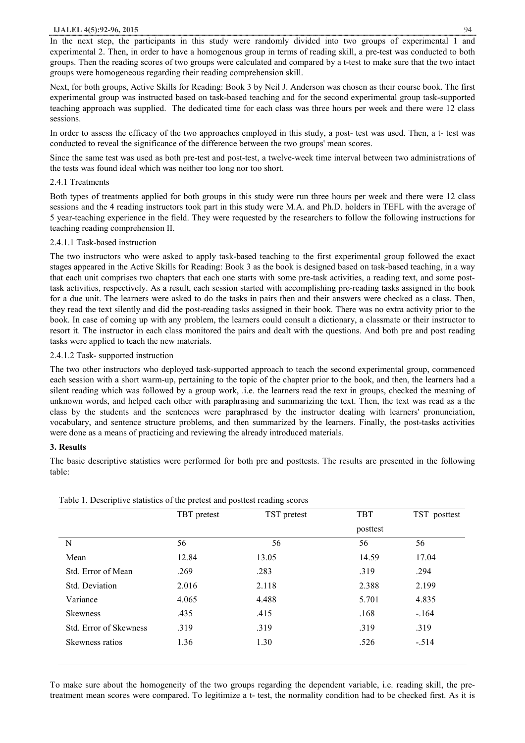In the next step, the participants in this study were randomly divided into two groups of experimental 1 and experimental 2. Then, in order to have a homogenous group in terms of reading skill, a pre-test was conducted to both groups. Then the reading scores of two groups were calculated and compared by a t-test to make sure that the two intact groups were homogeneous regarding their reading comprehension skill.

Next, for both groups, Active Skills for Reading: Book 3 by Neil J. Anderson was chosen as their course book. The first experimental group was instructed based on task-based teaching and for the second experimental group task-supported teaching approach was supplied. The dedicated time for each class was three hours per week and there were 12 class sessions.

In order to assess the efficacy of the two approaches employed in this study, a post- test was used. Then, a t- test was conducted to reveal the significance of the difference between the two groups' mean scores.

Since the same test was used as both pre-test and post-test, a twelve-week time interval between two administrations of the tests was found ideal which was neither too long nor too short.

### 2.4.1 Treatments

Both types of treatments applied for both groups in this study were run three hours per week and there were 12 class sessions and the 4 reading instructors took part in this study were M.A. and Ph.D. holders in TEFL with the average of 5 year-teaching experience in the field. They were requested by the researchers to follow the following instructions for teaching reading comprehension II.

### 2.4.1.1 Task-based instruction

The two instructors who were asked to apply task-based teaching to the first experimental group followed the exact stages appeared in the Active Skills for Reading: Book 3 as the book is designed based on task-based teaching, in a way that each unit comprises two chapters that each one starts with some pre-task activities, a reading text, and some posttask activities, respectively. As a result, each session started with accomplishing pre-reading tasks assigned in the book for a due unit. The learners were asked to do the tasks in pairs then and their answers were checked as a class. Then, they read the text silently and did the post-reading tasks assigned in their book. There was no extra activity prior to the book. In case of coming up with any problem, the learners could consult a dictionary, a classmate or their instructor to resort it. The instructor in each class monitored the pairs and dealt with the questions. And both pre and post reading tasks were applied to teach the new materials.

# 2.4.1.2 Task- supported instruction

The two other instructors who deployed task-supported approach to teach the second experimental group, commenced each session with a short warm-up, pertaining to the topic of the chapter prior to the book, and then, the learners had a silent reading which was followed by a group work, .i.e. the learners read the text in groups, checked the meaning of unknown words, and helped each other with paraphrasing and summarizing the text. Then, the text was read as a the class by the students and the sentences were paraphrased by the instructor dealing with learners' pronunciation, vocabulary, and sentence structure problems, and then summarized by the learners. Finally, the post-tasks activities were done as a means of practicing and reviewing the already introduced materials.

# **3. Results**

The basic descriptive statistics were performed for both pre and posttests. The results are presented in the following table:

|                               | TBT pretest | TST pretest | <b>TBT</b> | TST posttest |
|-------------------------------|-------------|-------------|------------|--------------|
|                               |             |             | posttest   |              |
| N                             | 56          | 56          | 56         | 56           |
| Mean                          | 12.84       | 13.05       | 14.59      | 17.04        |
| Std. Error of Mean            | .269        | .283        | .319       | .294         |
| Std. Deviation                | 2.016       | 2.118       | 2.388      | 2.199        |
| Variance                      | 4.065       | 4.488       | 5.701      | 4.835        |
| <b>Skewness</b>               | .435        | .415        | .168       | $-164$       |
| <b>Std. Error of Skewness</b> | .319        | .319        | .319       | .319         |
| Skewness ratios               | 1.36        | 1.30        | .526       | $-.514$      |
|                               |             |             |            |              |

Table 1. Descriptive statistics of the pretest and posttest reading scores

To make sure about the homogeneity of the two groups regarding the dependent variable, i.e. reading skill, the pretreatment mean scores were compared. To legitimize a t- test, the normality condition had to be checked first. As it is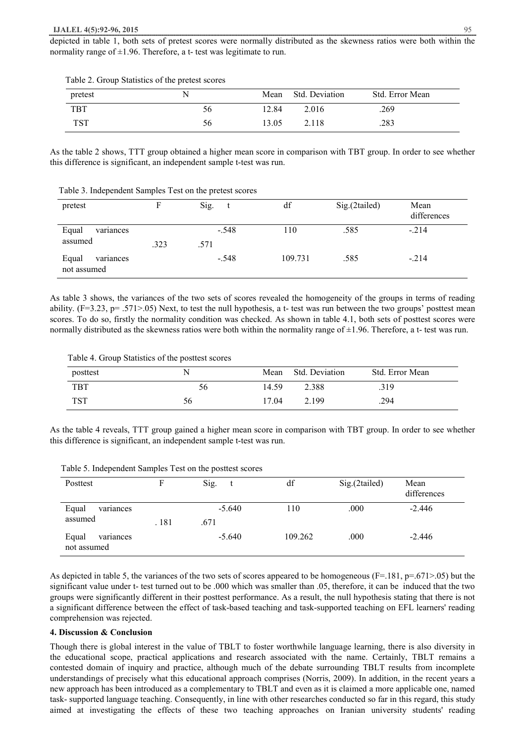depicted in table 1, both sets of pretest scores were normally distributed as the skewness ratios were both within the normality range of  $\pm 1.96$ . Therefore, a t- test was legitimate to run.

| pretest    |     |       | Mean Std. Deviation | Std. Error Mean |
|------------|-----|-------|---------------------|-----------------|
| <b>TBT</b> | 56. | 12.84 | 2.016               | .269            |
| TST        | 56  | 13.05 | 2.118               | .283            |

Table 2. Group Statistics of the pretest scores

As the table 2 shows, TTT group obtained a higher mean score in comparison with TBT group. In order to see whether this difference is significant, an independent sample t-test was run.

Table 3. Independent Samples Test on the pretest scores

| pretest                           |      | Sig.            | df      | Sig.(2tailed) | Mean<br>differences |
|-----------------------------------|------|-----------------|---------|---------------|---------------------|
| Equal<br>variances<br>assumed     | .323 | $-.548$<br>.571 | 110     | .585          | $-214$              |
| Equal<br>variances<br>not assumed |      | $-.548$         | 109.731 | .585          | $-214$              |

As table 3 shows, the variances of the two sets of scores revealed the homogeneity of the groups in terms of reading ability.  $(F=3.23, p=.571>05)$  Next, to test the null hypothesis, a t- test was run between the two groups' posttest mean scores. To do so, firstly the normality condition was checked. As shown in table 4.1, both sets of posttest scores were normally distributed as the skewness ratios were both within the normality range of  $\pm 1.96$ . Therefore, a t- test was run.

| posttest   |    | Mean  | <b>Std. Deviation</b> | Std. Error Mean |
|------------|----|-------|-----------------------|-----------------|
| <b>TBT</b> | 56 | 14.59 | 2.388                 | .319            |
| TST        | эb | 17.04 | 2.199                 | .294            |

As the table 4 reveals, TTT group gained a higher mean score in comparison with TBT group. In order to see whether this difference is significant, an independent sample t-test was run.

|  | Table 5. Independent Samples Test on the posttest scores |
|--|----------------------------------------------------------|
|--|----------------------------------------------------------|

| Posttest                          |       | Sig.             | df      | Sig.(2tailed) | Mean<br>differences |
|-----------------------------------|-------|------------------|---------|---------------|---------------------|
| Equal<br>variances<br>assumed     | . 181 | $-5.640$<br>.671 | 110     | .000          | $-2.446$            |
| Equal<br>variances<br>not assumed |       | $-5.640$         | 109.262 | .000          | $-2.446$            |

As depicted in table 5, the variances of the two sets of scores appeared to be homogeneous  $(F=.181, p=.671>.05)$  but the significant value under t- test turned out to be .000 which was smaller than .05, therefore, it can be induced that the two groups were significantly different in their posttest performance. As a result, the null hypothesis stating that there is not a significant difference between the effect of task-based teaching and task-supported teaching on EFL learners' reading comprehension was rejected.

#### **4. Discussion & Conclusion**

Though there is global interest in the value of TBLT to foster worthwhile language learning, there is also diversity in the educational scope, practical applications and research associated with the name. Certainly, TBLT remains a contested domain of inquiry and practice, although much of the debate surrounding TBLT results from incomplete understandings of precisely what this educational approach comprises (Norris, 2009). In addition, in the recent years a new approach has been introduced as a complementary to TBLT and even as it is claimed a more applicable one, named task- supported language teaching. Consequently, in line with other researches conducted so far in this regard, this study aimed at investigating the effects of these two teaching approaches on Iranian university students' reading